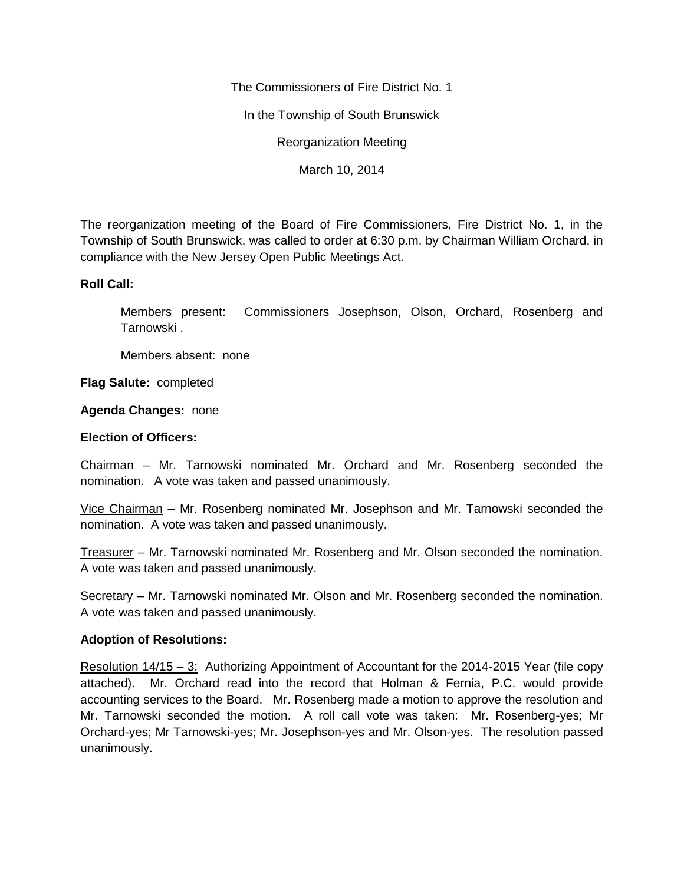The Commissioners of Fire District No. 1

In the Township of South Brunswick

Reorganization Meeting

March 10, 2014

The reorganization meeting of the Board of Fire Commissioners, Fire District No. 1, in the Township of South Brunswick, was called to order at 6:30 p.m. by Chairman William Orchard, in compliance with the New Jersey Open Public Meetings Act.

## **Roll Call:**

Members present: Commissioners Josephson, Olson, Orchard, Rosenberg and Tarnowski .

Members absent: none

**Flag Salute:** completed

## **Agenda Changes:** none

## **Election of Officers:**

Chairman – Mr. Tarnowski nominated Mr. Orchard and Mr. Rosenberg seconded the nomination. A vote was taken and passed unanimously.

Vice Chairman – Mr. Rosenberg nominated Mr. Josephson and Mr. Tarnowski seconded the nomination. A vote was taken and passed unanimously.

Treasurer – Mr. Tarnowski nominated Mr. Rosenberg and Mr. Olson seconded the nomination. A vote was taken and passed unanimously.

Secretary – Mr. Tarnowski nominated Mr. Olson and Mr. Rosenberg seconded the nomination. A vote was taken and passed unanimously.

## **Adoption of Resolutions:**

Resolution 14/15 – 3: Authorizing Appointment of Accountant for the 2014-2015 Year (file copy attached). Mr. Orchard read into the record that Holman & Fernia, P.C. would provide accounting services to the Board. Mr. Rosenberg made a motion to approve the resolution and Mr. Tarnowski seconded the motion. A roll call vote was taken: Mr. Rosenberg-yes; Mr Orchard-yes; Mr Tarnowski-yes; Mr. Josephson-yes and Mr. Olson-yes. The resolution passed unanimously.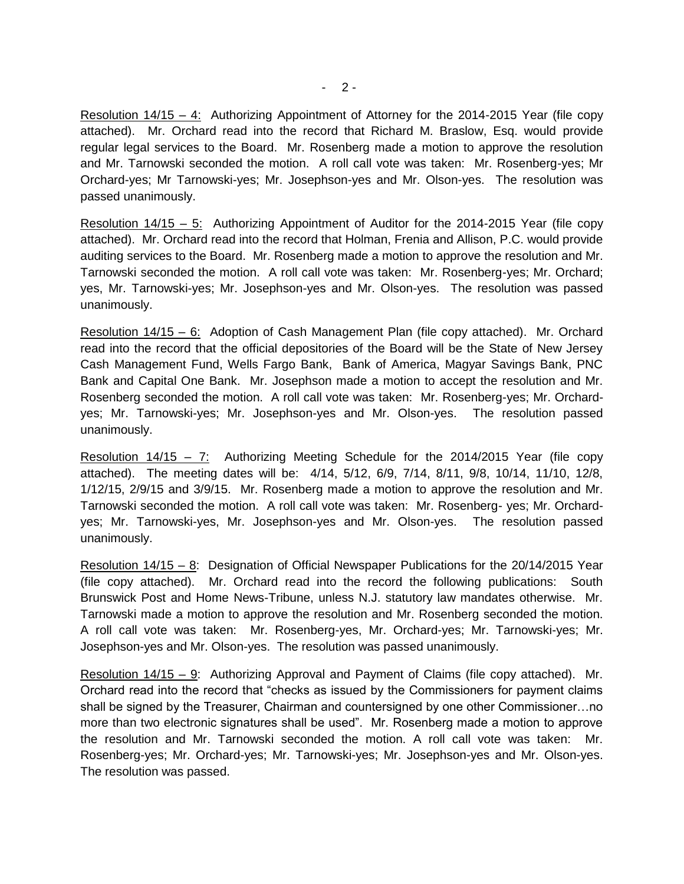Resolution 14/15 – 4: Authorizing Appointment of Attorney for the 2014-2015 Year (file copy attached). Mr. Orchard read into the record that Richard M. Braslow, Esq. would provide regular legal services to the Board. Mr. Rosenberg made a motion to approve the resolution and Mr. Tarnowski seconded the motion. A roll call vote was taken: Mr. Rosenberg-yes; Mr Orchard-yes; Mr Tarnowski-yes; Mr. Josephson-yes and Mr. Olson-yes. The resolution was passed unanimously.

Resolution 14/15 – 5: Authorizing Appointment of Auditor for the 2014-2015 Year (file copy attached). Mr. Orchard read into the record that Holman, Frenia and Allison, P.C. would provide auditing services to the Board. Mr. Rosenberg made a motion to approve the resolution and Mr. Tarnowski seconded the motion. A roll call vote was taken: Mr. Rosenberg-yes; Mr. Orchard; yes, Mr. Tarnowski-yes; Mr. Josephson-yes and Mr. Olson-yes. The resolution was passed unanimously.

Resolution 14/15 – 6: Adoption of Cash Management Plan (file copy attached). Mr. Orchard read into the record that the official depositories of the Board will be the State of New Jersey Cash Management Fund, Wells Fargo Bank, Bank of America, Magyar Savings Bank, PNC Bank and Capital One Bank. Mr. Josephson made a motion to accept the resolution and Mr. Rosenberg seconded the motion. A roll call vote was taken: Mr. Rosenberg-yes; Mr. Orchardyes; Mr. Tarnowski-yes; Mr. Josephson-yes and Mr. Olson-yes. The resolution passed unanimously.

Resolution 14/15 – 7: Authorizing Meeting Schedule for the 2014/2015 Year (file copy attached). The meeting dates will be: 4/14, 5/12, 6/9, 7/14, 8/11, 9/8, 10/14, 11/10, 12/8, 1/12/15, 2/9/15 and 3/9/15. Mr. Rosenberg made a motion to approve the resolution and Mr. Tarnowski seconded the motion. A roll call vote was taken: Mr. Rosenberg- yes; Mr. Orchardyes; Mr. Tarnowski-yes, Mr. Josephson-yes and Mr. Olson-yes. The resolution passed unanimously.

Resolution 14/15 – 8: Designation of Official Newspaper Publications for the 20/14/2015 Year (file copy attached). Mr. Orchard read into the record the following publications: South Brunswick Post and Home News-Tribune, unless N.J. statutory law mandates otherwise. Mr. Tarnowski made a motion to approve the resolution and Mr. Rosenberg seconded the motion. A roll call vote was taken: Mr. Rosenberg-yes, Mr. Orchard-yes; Mr. Tarnowski-yes; Mr. Josephson-yes and Mr. Olson-yes. The resolution was passed unanimously.

Resolution 14/15 – 9: Authorizing Approval and Payment of Claims (file copy attached). Mr. Orchard read into the record that "checks as issued by the Commissioners for payment claims shall be signed by the Treasurer, Chairman and countersigned by one other Commissioner…no more than two electronic signatures shall be used". Mr. Rosenberg made a motion to approve the resolution and Mr. Tarnowski seconded the motion. A roll call vote was taken: Mr. Rosenberg-yes; Mr. Orchard-yes; Mr. Tarnowski-yes; Mr. Josephson-yes and Mr. Olson-yes. The resolution was passed.